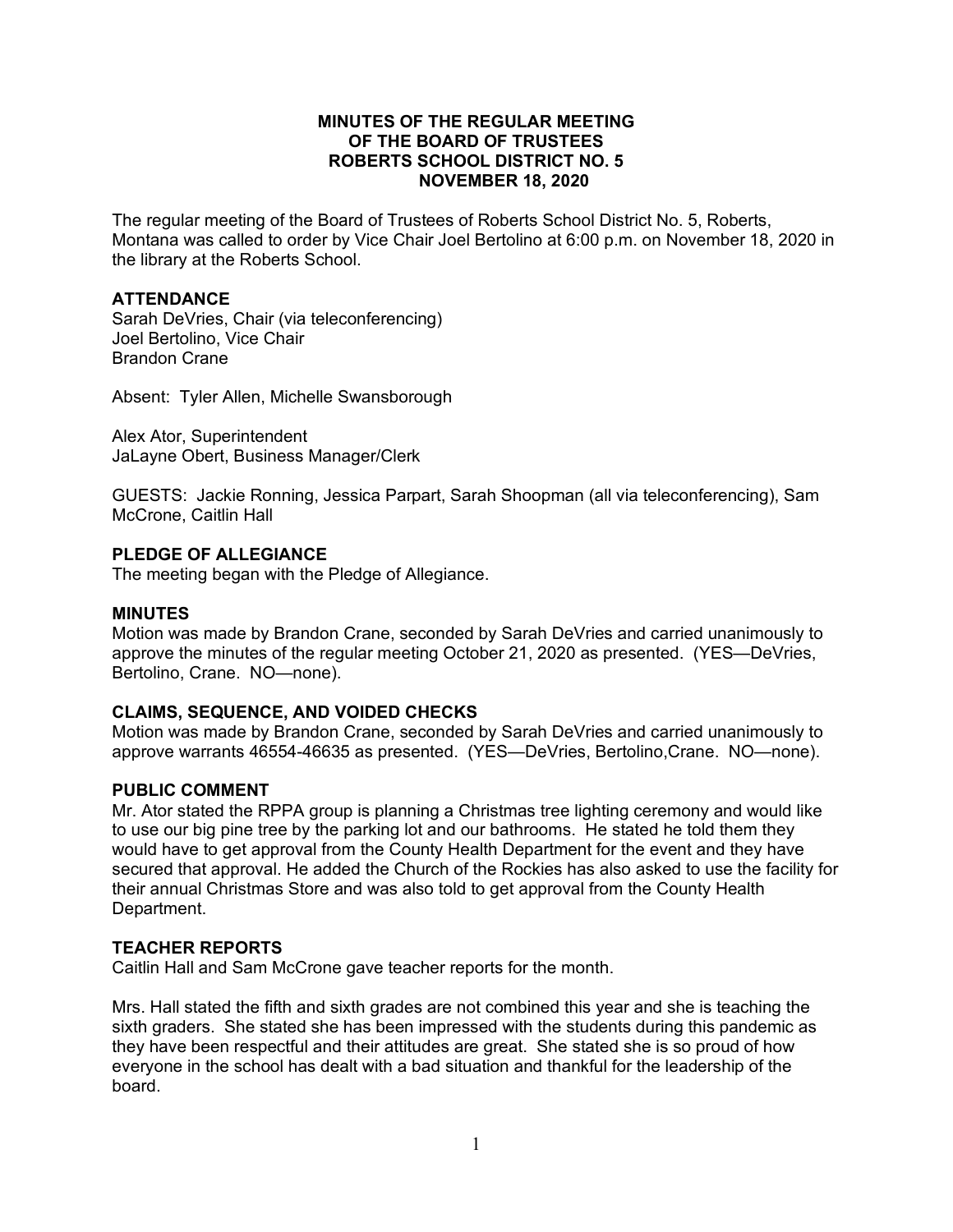# **MINUTES OF THE REGULAR MEETING OF THE BOARD OF TRUSTEES ROBERTS SCHOOL DISTRICT NO. 5 NOVEMBER 18, 2020**

The regular meeting of the Board of Trustees of Roberts School District No. 5, Roberts, Montana was called to order by Vice Chair Joel Bertolino at 6:00 p.m. on November 18, 2020 in the library at the Roberts School.

# **ATTENDANCE**

Sarah DeVries, Chair (via teleconferencing) Joel Bertolino, Vice Chair Brandon Crane

Absent: Tyler Allen, Michelle Swansborough

Alex Ator, Superintendent JaLayne Obert, Business Manager/Clerk

GUESTS: Jackie Ronning, Jessica Parpart, Sarah Shoopman (all via teleconferencing), Sam McCrone, Caitlin Hall

# **PLEDGE OF ALLEGIANCE**

The meeting began with the Pledge of Allegiance.

#### **MINUTES**

Motion was made by Brandon Crane, seconded by Sarah DeVries and carried unanimously to approve the minutes of the regular meeting October 21, 2020 as presented. (YES—DeVries, Bertolino, Crane. NO—none).

#### **CLAIMS, SEQUENCE, AND VOIDED CHECKS**

Motion was made by Brandon Crane, seconded by Sarah DeVries and carried unanimously to approve warrants 46554-46635 as presented. (YES—DeVries, Bertolino,Crane. NO—none).

#### **PUBLIC COMMENT**

Mr. Ator stated the RPPA group is planning a Christmas tree lighting ceremony and would like to use our big pine tree by the parking lot and our bathrooms. He stated he told them they would have to get approval from the County Health Department for the event and they have secured that approval. He added the Church of the Rockies has also asked to use the facility for their annual Christmas Store and was also told to get approval from the County Health Department.

#### **TEACHER REPORTS**

Caitlin Hall and Sam McCrone gave teacher reports for the month.

Mrs. Hall stated the fifth and sixth grades are not combined this year and she is teaching the sixth graders. She stated she has been impressed with the students during this pandemic as they have been respectful and their attitudes are great. She stated she is so proud of how everyone in the school has dealt with a bad situation and thankful for the leadership of the board.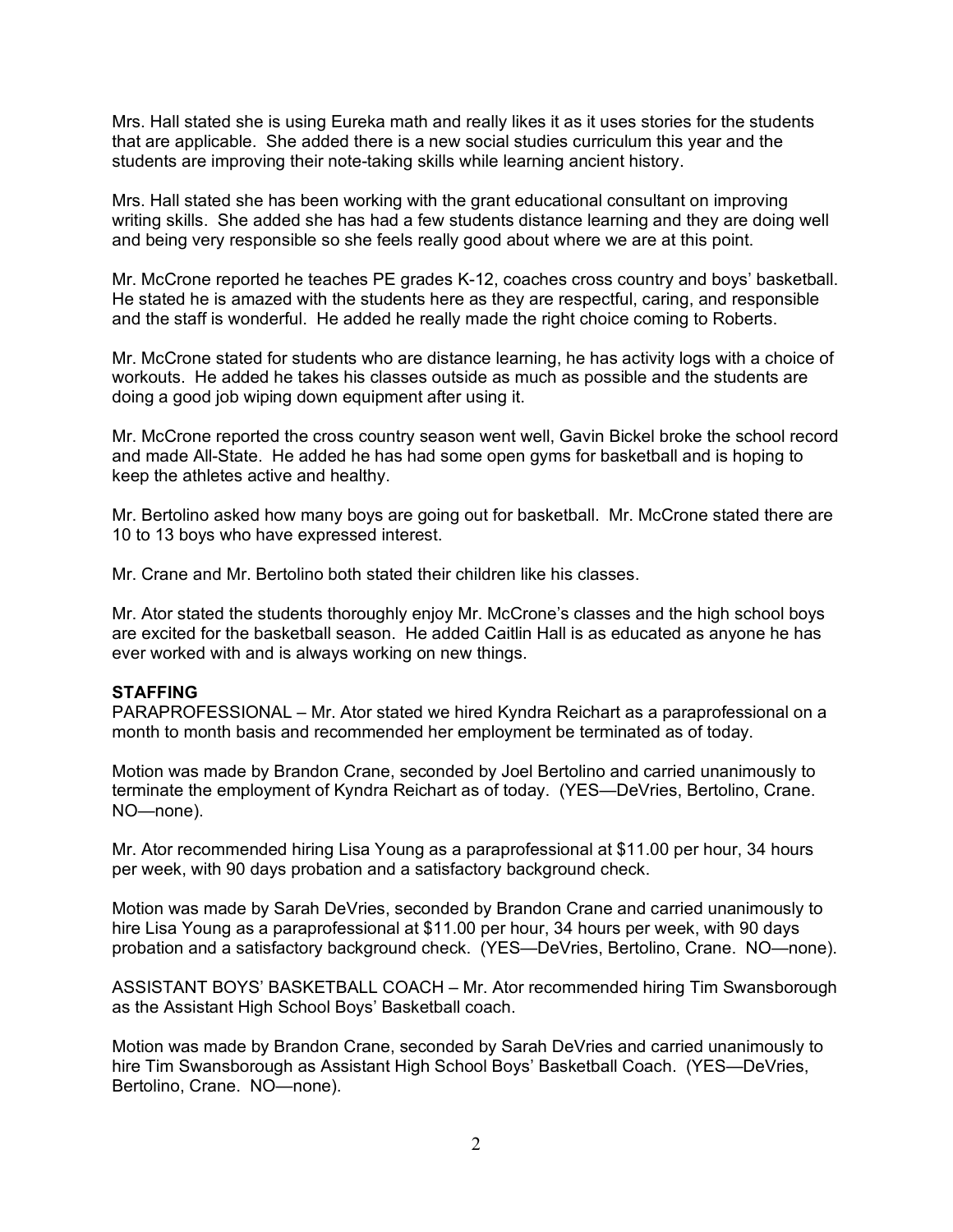Mrs. Hall stated she is using Eureka math and really likes it as it uses stories for the students that are applicable. She added there is a new social studies curriculum this year and the students are improving their note-taking skills while learning ancient history.

Mrs. Hall stated she has been working with the grant educational consultant on improving writing skills. She added she has had a few students distance learning and they are doing well and being very responsible so she feels really good about where we are at this point.

Mr. McCrone reported he teaches PE grades K-12, coaches cross country and boys' basketball. He stated he is amazed with the students here as they are respectful, caring, and responsible and the staff is wonderful. He added he really made the right choice coming to Roberts.

Mr. McCrone stated for students who are distance learning, he has activity logs with a choice of workouts. He added he takes his classes outside as much as possible and the students are doing a good job wiping down equipment after using it.

Mr. McCrone reported the cross country season went well, Gavin Bickel broke the school record and made All-State. He added he has had some open gyms for basketball and is hoping to keep the athletes active and healthy.

Mr. Bertolino asked how many boys are going out for basketball. Mr. McCrone stated there are 10 to 13 boys who have expressed interest.

Mr. Crane and Mr. Bertolino both stated their children like his classes.

Mr. Ator stated the students thoroughly enjoy Mr. McCrone's classes and the high school boys are excited for the basketball season. He added Caitlin Hall is as educated as anyone he has ever worked with and is always working on new things.

#### **STAFFING**

PARAPROFESSIONAL – Mr. Ator stated we hired Kyndra Reichart as a paraprofessional on a month to month basis and recommended her employment be terminated as of today.

Motion was made by Brandon Crane, seconded by Joel Bertolino and carried unanimously to terminate the employment of Kyndra Reichart as of today. (YES—DeVries, Bertolino, Crane. NO—none).

Mr. Ator recommended hiring Lisa Young as a paraprofessional at \$11.00 per hour, 34 hours per week, with 90 days probation and a satisfactory background check.

Motion was made by Sarah DeVries, seconded by Brandon Crane and carried unanimously to hire Lisa Young as a paraprofessional at \$11.00 per hour, 34 hours per week, with 90 days probation and a satisfactory background check. (YES—DeVries, Bertolino, Crane. NO—none).

ASSISTANT BOYS' BASKETBALL COACH – Mr. Ator recommended hiring Tim Swansborough as the Assistant High School Boys' Basketball coach.

Motion was made by Brandon Crane, seconded by Sarah DeVries and carried unanimously to hire Tim Swansborough as Assistant High School Boys' Basketball Coach. (YES—DeVries, Bertolino, Crane. NO—none).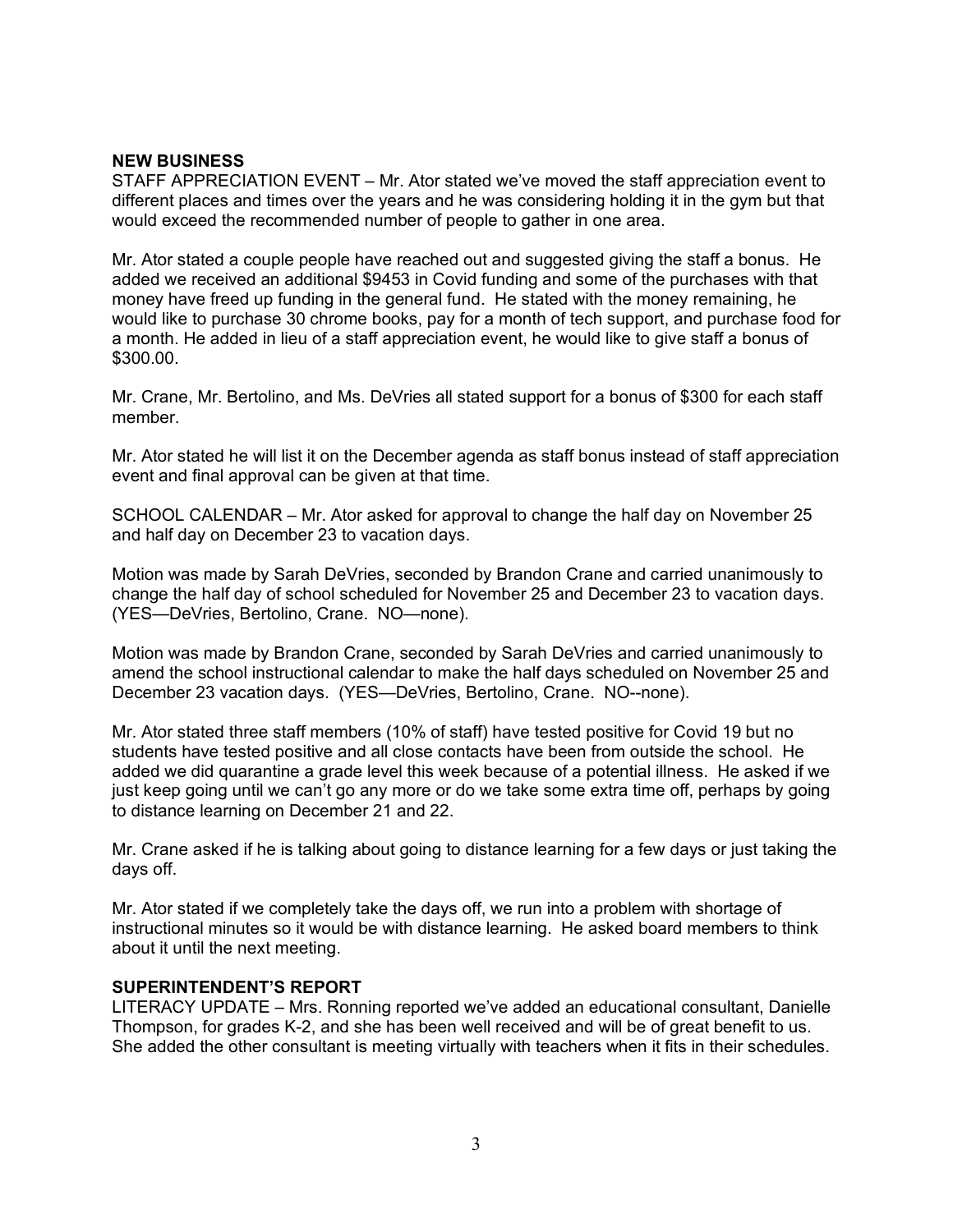# **NEW BUSINESS**

STAFF APPRECIATION EVENT – Mr. Ator stated we've moved the staff appreciation event to different places and times over the years and he was considering holding it in the gym but that would exceed the recommended number of people to gather in one area.

Mr. Ator stated a couple people have reached out and suggested giving the staff a bonus. He added we received an additional \$9453 in Covid funding and some of the purchases with that money have freed up funding in the general fund. He stated with the money remaining, he would like to purchase 30 chrome books, pay for a month of tech support, and purchase food for a month. He added in lieu of a staff appreciation event, he would like to give staff a bonus of \$300.00.

Mr. Crane, Mr. Bertolino, and Ms. DeVries all stated support for a bonus of \$300 for each staff member.

Mr. Ator stated he will list it on the December agenda as staff bonus instead of staff appreciation event and final approval can be given at that time.

SCHOOL CALENDAR – Mr. Ator asked for approval to change the half day on November 25 and half day on December 23 to vacation days.

Motion was made by Sarah DeVries, seconded by Brandon Crane and carried unanimously to change the half day of school scheduled for November 25 and December 23 to vacation days. (YES—DeVries, Bertolino, Crane. NO—none).

Motion was made by Brandon Crane, seconded by Sarah DeVries and carried unanimously to amend the school instructional calendar to make the half days scheduled on November 25 and December 23 vacation days. (YES—DeVries, Bertolino, Crane. NO--none).

Mr. Ator stated three staff members (10% of staff) have tested positive for Covid 19 but no students have tested positive and all close contacts have been from outside the school. He added we did quarantine a grade level this week because of a potential illness. He asked if we just keep going until we can't go any more or do we take some extra time off, perhaps by going to distance learning on December 21 and 22.

Mr. Crane asked if he is talking about going to distance learning for a few days or just taking the days off.

Mr. Ator stated if we completely take the days off, we run into a problem with shortage of instructional minutes so it would be with distance learning. He asked board members to think about it until the next meeting.

#### **SUPERINTENDENT'S REPORT**

LITERACY UPDATE – Mrs. Ronning reported we've added an educational consultant, Danielle Thompson, for grades K-2, and she has been well received and will be of great benefit to us. She added the other consultant is meeting virtually with teachers when it fits in their schedules.